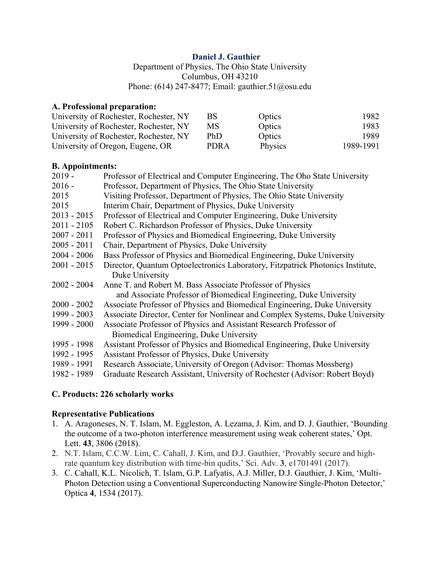## **Daniel J. Gauthier**

Department of Physics, The Ohio State University Columbus, OH 43210 Phone: (614) 247-8477; Email: gauthier.51@osu.edu

## **A. Professional preparation:**

| University of Rochester, Rochester, NY | BS          | Optics  | 1982      |
|----------------------------------------|-------------|---------|-----------|
| University of Rochester, Rochester, NY | MS          | Optics  | 1983      |
| University of Rochester, Rochester, NY | PhD         | Optics  | 1989.     |
| University of Oregon, Eugene, OR       | <b>PDRA</b> | Physics | 1989-1991 |

#### **B. Appointments:**

| $2019 -$      | Professor of Electrical and Computer Engineering, The Oho State University     |
|---------------|--------------------------------------------------------------------------------|
| $2016 -$      | Professor, Department of Physics, The Ohio State University                    |
| 2015          | Visiting Professor, Department of Physics, The Ohio State University           |
| 2015          | Interim Chair, Department of Physics, Duke University                          |
| $2013 - 2015$ | Professor of Electrical and Computer Engineering, Duke University              |
| $2011 - 2105$ | Robert C. Richardson Professor of Physics, Duke University                     |
| $2007 - 2011$ | Professor of Physics and Biomedical Engineering, Duke University               |
| $2005 - 2011$ | Chair, Department of Physics, Duke University                                  |
| $2004 - 2006$ | Bass Professor of Physics and Biomedical Engineering, Duke University          |
| $2001 - 2015$ | Director, Quantum Optoelectronics Laboratory, Fitzpatrick Photonics Institute, |
|               | Duke University                                                                |
| $2002 - 2004$ | Anne T. and Robert M. Bass Associate Professor of Physics                      |
|               | and Associate Professor of Biomedical Engineering, Duke University             |
| $2000 - 2002$ | Associate Professor of Physics and Biomedical Engineering, Duke University     |
| 1999 - 2003   | Associate Director, Center for Nonlinear and Complex Systems, Duke University  |
| 1999 - 2000   | Associate Professor of Physics and Assistant Research Professor of             |
|               | Biomedical Engineering, Duke University                                        |
| 1995 - 1998   | Assistant Professor of Physics and Biomedical Engineering, Duke University     |
| 1992 - 1995   | Assistant Professor of Physics, Duke University                                |
| 1989 - 1991   | Research Associate, University of Oregon (Advisor: Thomas Mossberg)            |
| 1982 - 1989   | Graduate Research Assistant, University of Rochester (Advisor: Robert Boyd)    |
|               |                                                                                |

#### **C. Products: 226 scholarly works**

#### **Representative Publications**

- 1. A. Aragoneses, N. T. Islam, M. Eggleston, A. Lezama, J. Kim, and D. J. Gauthier, 'Bounding the outcome of a two-photon interference measurement using weak coherent states,' Opt. Lett. **43**, 3806 (2018).
- 2. N.T. Islam, C.C.W. Lim, C. Cahall, J. Kim, and D.J. Gauthier, 'Provably secure and highrate quantum key distribution with time-bin qudits,' Sci. Adv. **3**, e1701491 (2017).
- 3. C. Cahall, K.L. Nicolich, T. Islam, G.P. Lafyatis, A.J. Miller, D.J. Gauthier, J. Kim, 'Multi-Photon Detection using a Conventional Superconducting Nanowire Single-Photon Detector,' Optica **4**, 1534 (2017).